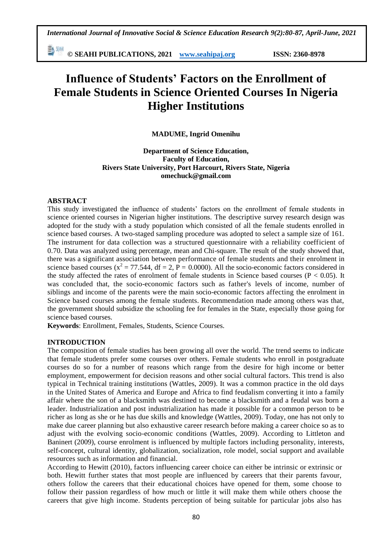勤卿 **© SEAHI PUBLICATIONS, 2021 [www.seahipaj.org](http://www.seahipaj.org/) ISSN: 2360-8978**

# **Influence of Students' Factors on the Enrollment of Female Students in Science Oriented Courses In Nigeria Higher Institutions**

**MADUME, Ingrid Omenihu**

**Department of Science Education, Faculty of Education, Rivers State University, Port Harcourt, Rivers State, Nigeria omechuck@gmail.com**

# **ABSTRACT**

This study investigated the influence of students' factors on the enrollment of female students in science oriented courses in Nigerian higher institutions. The descriptive survey research design was adopted for the study with a study population which consisted of all the female students enrolled in science based courses. A two-staged sampling procedure was adopted to select a sample size of 161. The instrument for data collection was a structured questionnaire with a reliability coefficient of 0.70. Data was analyzed using percentage, mean and Chi-square. The result of the study showed that, there was a significant association between performance of female students and their enrolment in science based courses ( $x^2 = 77.544$ , df = 2, P = 0.0000). All the socio-economic factors considered in the study affected the rates of enrolment of female students in Science based courses ( $P < 0.05$ ). It was concluded that, the socio-economic factors such as father's levels of income, number of siblings and income of the parents were the main socio-economic factors affecting the enrolment in Science based courses among the female students. Recommendation made among others was that, the government should subsidize the schooling fee for females in the State, especially those going for science based courses.

**Keywords**: Enrollment, Females, Students, Science Courses.

# **INTRODUCTION**

The composition of female studies has been growing all over the world. The trend seems to indicate that female students prefer some courses over others. Female students who enroll in postgraduate courses do so for a number of reasons which range from the desire for high income or better employment, empowerment for decision reasons and other social cultural factors. This trend is also typical in Technical training institutions (Wattles, 2009). It was a common practice in the old days in the United States of America and Europe and Africa to find feudalism converting it into a family affair where the son of a blacksmith was destined to become a blacksmith and a feudal was born a leader. Industrialization and post industrialization has made it possible for a common person to be richer as long as she or he has due skills and knowledge (Wattles, 2009). Today, one has not only to make due career planning but also exhaustive career research before making a career choice so as to adjust with the evolving socio-economic conditions (Wattles, 2009). According to Littleton and Baninert (2009), course enrolment is influenced by multiple factors including personality, interests, self-concept, cultural identity, globalization, socialization, role model, social support and available resources such as information and financial.

According to Hewitt (2010), factors influencing career choice can either be intrinsic or extrinsic or both. Hewitt further states that most people are influenced by careers that their parents favour, others follow the careers that their educational choices have opened for them, some choose to follow their passion regardless of how much or little it will make them while others choose the careers that give high income. Students perception of being suitable for particular jobs also has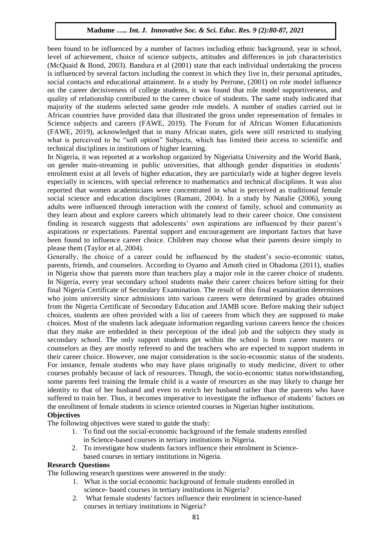been found to be influenced by a number of factors including ethnic background, year in school, level of achievement, choice of science subjects, attitudes and differences in job characteristics (McQuaid & Bond, 2003). Bandura et al (2001) state that each individual undertaking the process is influenced by several factors including the context in which they live in, their personal aptitudes, social contacts and educational attainment. In a study by Perrone, (2001) on role model influence on the career decisiveness of college students, it was found that role model supportiveness, and quality of relationship contributed to the career choice of students. The same study indicated that majority of the students selected same gender role models. A number of studies carried out in African countries have provided data that illustrated the gross under representation of females in Science subjects and careers (FAWE, 2019). The Forum for of African Women Educationists (FAWE, 2019), acknowledged that in many African states, girls were still restricted to studying what is perceived to be "soft option" Subjects, which has limited their access to scientific and technical disciplines in institutions of higher learning.

In Nigeria, it was reported at a workshop organized by Nigeriatta University and the World Bank, on gender main-streaming in public universities, that although gender disparities in students' enrolment exist at all levels of higher education, they are particularly wide at higher degree levels especially in sciences, with special reference to mathematics and technical disciplines. It was also reported that women academicians were concentrated in what is perceived as traditional female social science and education disciplines (Ramani, 2004). In a study by Natalie (2006), young adults were influenced through interaction with the context of family, school and community as they learn about and explore careers which ultimately lead to their career choice. One consistent finding in research suggests that adolescents' own aspirations are influenced by their parent's aspirations or expectations. Parental support and encouragement are important factors that have been found to influence career choice. Children may choose what their parents desire simply to please them (Taylor et al, 2004).

Generally, the choice of a career could be influenced by the student's socio-economic status, parents, friends, and counselors. According to Oyamo and Amoth cited in Ohadoma (2011), studies in Nigeria show that parents more than teachers play a major role in the career choice of students. In Nigeria, every year secondary school students make their career choices before sitting for their final Nigeria Certificate of Secondary Examination. The result of this final examination determines who joins university since admissions into various careers were determined by grades obtained from the Nigeria Certificate of Secondary Education and JAMB score. Before making their subject choices, students are often provided with a list of careers from which they are supposed to make choices. Most of the students lack adequate information regarding various careers hence the choices that they make are embedded in their perception of the ideal job and the subjects they study in secondary school. The only support students get within the school is from career masters or counselors as they are mostly refereed to and the teachers who are expected to support students in their career choice. However, one major consideration is the socio-economic status of the students. For instance, female students who may have plans originally to study medicine, divert to other courses probably because of lack of resources. Though, the socio-economic status notwithstanding, some parents feel training the female child is a waste of resources as she may likely to change her identity to that of her husband and even to enrich her husband rather than the parents who have suffered to train her. Thus, it becomes imperative to investigate the influence of students' factors on the enrollment of female students in science oriented courses in Nigerian higher institutions. **Objectives** 

The following objectives were stated to guide the study:

- 1. To find out the social-economic background of the female students enrolled in Science-based courses in tertiary institutions in Nigeria.
- 2. To investigate how students factors influence their enrolment in Sciencebased courses in tertiary institutions in Nigeria.

#### **Research Questions**

The following research questions were answered in the study:

- 1. What is the social economic background of female students enrolled in science- based courses in tertiary institutions in Nigeria?
- 2. What female students' factors influence their enrolment in science-based courses in tertiary institutions in Nigeria?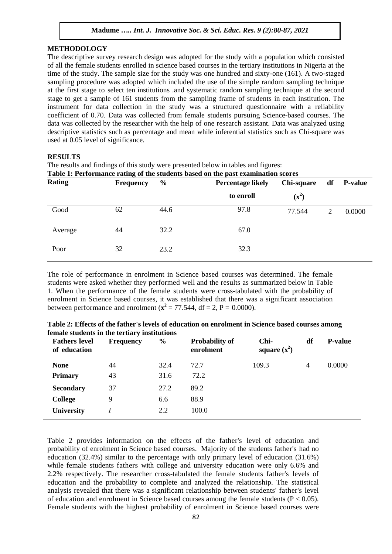#### **METHODOLOGY**

The descriptive survey research design was adopted for the study with a population which consisted of all the female students enrolled in science based courses in the tertiary institutions in Nigeria at the time of the study. The sample size for the study was one hundred and sixty-one (161). A two-staged sampling procedure was adopted which included the use of the simple random sampling technique at the first stage to select ten institutions .and systematic random sampling technique at the second stage to get a sample of 161 students from the sampling frame of students in each institution. The instrument for data collection in the study was a structured questionnaire with a reliability coefficient of 0.70. Data was collected from female students pursuing Science-based courses. The data was collected by the researcher with the help of one research assistant. Data was analyzed using descriptive statistics such as percentage and mean while inferential statistics such as Chi-square was used at 0.05 level of significance.

#### **RESULTS**

The results and findings of this study were presented below in tables and figures:<br>Table 1: Performance rating of the students based on the past examination so

| Table 1: Performance rating of the students based on the past examination scores |               |                          |            |    |                |  |  |  |  |  |
|----------------------------------------------------------------------------------|---------------|--------------------------|------------|----|----------------|--|--|--|--|--|
| <b>Frequency</b>                                                                 | $\frac{6}{9}$ | <b>Percentage likely</b> | Chi-square | df | <b>P-value</b> |  |  |  |  |  |
|                                                                                  |               | to enroll                | $(x^2)$    |    |                |  |  |  |  |  |
| 62                                                                               | 44.6          | 97.8                     | 77.544     | 2  | 0.0000         |  |  |  |  |  |
| 44                                                                               | 32.2          | 67.0                     |            |    |                |  |  |  |  |  |
| 32                                                                               | 23.2          | 32.3                     |            |    |                |  |  |  |  |  |
|                                                                                  |               |                          |            |    |                |  |  |  |  |  |

The role of performance in enrolment in Science based courses was determined. The female students were asked whether they performed well and the results as summarized below in Table 1. When the performance of the female students were cross-tabulated with the probability of enrolment in Science based courses, it was established that there was a significant association between performance and enrolment ( $\mathbf{x}^2 = 77.544$ , df = 2, P = 0.0000).

| <b>Fathers level</b><br>of education | <b>Frequency</b> | $\frac{0}{0}$ | <b>Probability of</b><br>enrolment | Chi-<br>square $(x^2)$ | df | <b>P-value</b> |
|--------------------------------------|------------------|---------------|------------------------------------|------------------------|----|----------------|
| <b>None</b>                          | 44               | 32.4          | 72.7                               | 109.3                  | 4  | 0.0000         |
| <b>Primary</b>                       | 43               | 31.6          | 72.2                               |                        |    |                |
| <b>Secondary</b>                     | 37               | 27.2          | 89.2                               |                        |    |                |
| College                              | 9                | 6.6           | 88.9                               |                        |    |                |
| <b>University</b>                    |                  | 2.2           | 100.0                              |                        |    |                |

**Table 2: Effects of the father's levels of education on enrolment in Science based courses among female students in the tertiary institutions**

Table 2 provides information on the effects of the father's level of education and probability of enrolment in Science based courses. Majority of the students father's had no education (32.4%) similar to the percentage with only primary level of education (31.6%) while female students fathers with college and university education were only 6.6% and 2.2% respectively. The researcher cross-tabulated the female students father's levels of education and the probability to complete and analyzed the relationship. The statistical analysis revealed that there was a significant relationship between students' father's level of education and enrolment in Science based courses among the female students ( $P < 0.05$ ). Female students with the highest probability of enrolment in Science based courses were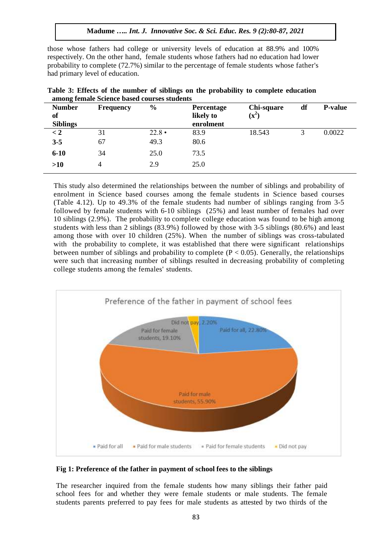those whose fathers had college or university levels of education at 88.9% and 100% respectively. On the other hand, female students whose fathers had no education had lower probability to complete (72.7%) similar to the percentage of female students whose father's had primary level of education.

| <b>Number</b><br>of<br><b>Siblings</b> | <b>Frequency</b> | $\frac{6}{9}$ | <b>Percentage</b><br>likely to<br>enrolment | Chi-square<br>$(x^2)$ | df | <b>P-value</b> |
|----------------------------------------|------------------|---------------|---------------------------------------------|-----------------------|----|----------------|
| $\lt 2$                                | 31               | $22.8 \cdot$  | 83.9                                        | 18.543                | 3  | 0.0022         |
| $3 - 5$                                | 67               | 49.3          | 80.6                                        |                       |    |                |
| $6-10$                                 | 34               | 25.0          | 73.5                                        |                       |    |                |
| >10                                    | 4                | 2.9           | 25.0                                        |                       |    |                |

|  |  |                                             | Table 3: Effects of the number of siblings on the probability to complete education |  |  |
|--|--|---------------------------------------------|-------------------------------------------------------------------------------------|--|--|
|  |  | among female Science based courses students |                                                                                     |  |  |

This study also determined the relationships between the number of siblings and probability of enrolment in Science based courses among the female students in Science based courses (Table 4.12). Up to 49.3% of the female students had number of siblings ranging from 3-5 followed by female students with 6-10 siblings (25%) and least number of females had over 10 siblings (2.9%). The probability to complete college education was found to be high among students with less than 2 siblings (83.9%) followed by those with 3-5 siblings (80.6%) and least among those with over 10 children (25%). When the number of siblings was cross-tabulated with the probability to complete, it was established that there were significant relationships between number of siblings and probability to complete  $(P < 0.05)$ . Generally, the relationships were such that increasing number of siblings resulted in decreasing probability of completing college students among the females' students.



#### **Fig 1: Preference of the father in payment of school fees to the siblings**

The researcher inquired from the female students how many siblings their father paid school fees for and whether they were female students or male students. The female students parents preferred to pay fees for male students as attested by two thirds of the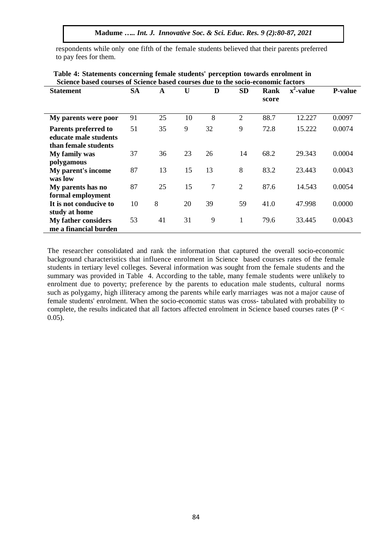respondents while only one fifth of the female students believed that their parents preferred to pay fees for them.

| Science based courses of Science based courses due to the socio-economic factors |           |    |    |    |                |       |                         |                |  |
|----------------------------------------------------------------------------------|-----------|----|----|----|----------------|-------|-------------------------|----------------|--|
| <b>Statement</b>                                                                 | <b>SA</b> | A  | U  | D  | <b>SD</b>      | Rank  | $\overline{x^2}$ -value | <b>P-value</b> |  |
|                                                                                  |           |    |    |    |                | score |                         |                |  |
|                                                                                  |           |    |    |    |                |       |                         |                |  |
| My parents were poor                                                             | 91        | 25 | 10 | 8  | $\overline{2}$ | 88.7  | 12.227                  | 0.0097         |  |
| Parents preferred to                                                             | 51        | 35 | 9  | 32 | 9              | 72.8  | 15.222                  | 0.0074         |  |
| educate male students                                                            |           |    |    |    |                |       |                         |                |  |
| than female students                                                             |           |    |    |    |                |       |                         |                |  |
| My family was                                                                    | 37        | 36 | 23 | 26 | 14             | 68.2  | 29.343                  | 0.0004         |  |
| polygamous                                                                       |           |    |    |    |                |       |                         |                |  |
| My parent's income                                                               | 87        | 13 | 15 | 13 | 8              | 83.2  | 23.443                  | 0.0043         |  |
| was low                                                                          |           |    |    |    |                |       |                         |                |  |
| My parents has no                                                                | 87        | 25 | 15 | 7  | $\overline{2}$ | 87.6  | 14.543                  | 0.0054         |  |
| formal employment                                                                |           |    |    |    |                |       |                         |                |  |
| It is not conducive to                                                           | 10        | 8  | 20 | 39 | 59             | 41.0  | 47.998                  | 0.0000         |  |
| study at home                                                                    |           |    |    |    |                |       |                         |                |  |
| <b>My father considers</b>                                                       | 53        | 41 | 31 | 9  | 1              | 79.6  | 33.445                  | 0.0043         |  |
| me a financial burden                                                            |           |    |    |    |                |       |                         |                |  |

# **Table 4: Statements concerning female students' perception towards enrolment in Science based courses of Science based courses due to the socio-economic factors**

The researcher consolidated and rank the information that captured the overall socio-economic background characteristics that influence enrolment in Science based courses rates of the female students in tertiary level colleges. Several information was sought from the female students and the summary was provided in Table 4. According to the table, many female students were unlikely to enrolment due to poverty; preference by the parents to education male students, cultural norms such as polygamy, high illiteracy among the parents while early marriages was not a major cause of female students' enrolment. When the socio-economic status was cross- tabulated with probability to complete, the results indicated that all factors affected enrolment in Science based courses rates (P < 0.05).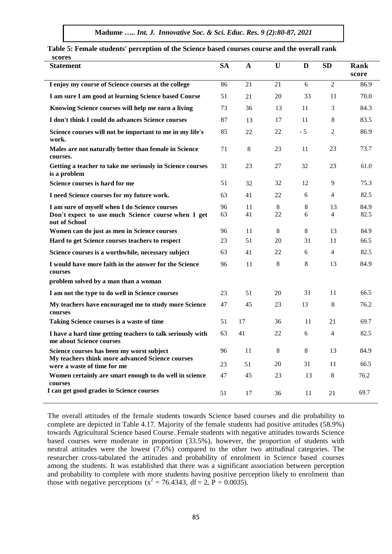| scores                                                                                                               |           |                |               |              |                |              |
|----------------------------------------------------------------------------------------------------------------------|-----------|----------------|---------------|--------------|----------------|--------------|
| <b>Statement</b>                                                                                                     | <b>SA</b> | $\mathbf{A}$   | $\mathbf U$   | D            | <b>SD</b>      | Rank         |
|                                                                                                                      |           |                |               |              |                | score        |
| I enjoy my course of Science courses at the college                                                                  | 86        | 21             | 21            | 6            | $\overline{2}$ | 86.9         |
| I am sure I am good at learning Science based Course                                                                 | 51        | 21             | 20            | 33           | 11             | 70.0         |
| Knowing Science courses will help me earn a living                                                                   | 73        | 36             | 13            | 11           | 3              | 84.3         |
| I don't think I could do advances Science courses                                                                    | 87        | 13             | 17            | 11           | 8              | 83.5         |
| Science courses will not be important to me in my life's<br>work.                                                    | 85        | 22             | 22            | $-5$         | $\mathfrak{2}$ | 86.9         |
| Males are not naturally better than female in Science<br>courses.                                                    | 71        | $8\phantom{1}$ | 23            | 11           | 23             | 73.7         |
| Getting a teacher to take me seriously in Science courses<br>is a problem                                            | 31        | 23             | 27            | 32           | 23             | 61.0         |
| Science courses is hard for me                                                                                       | 51        | 32             | 32            | 12           | 9              | 75.3         |
| I need Science courses for my future work.                                                                           | 63        | 41             | 22            | 6            | $\overline{4}$ | 82.5         |
| I am sure of myself when I do Science courses<br>Don't expect to use much Science course when I get<br>out of School | 96<br>63  | 11<br>41       | 8<br>22       | $\,8\,$<br>6 | 13<br>4        | 84.9<br>82.5 |
| Women can do just as men in Science courses                                                                          | 96        | 11             | 8             | 8            | 13             | 84.9         |
| Hard to get Science courses teachers to respect                                                                      | 23        | 51             | 20            | 31           | 11             | 66.5         |
| Science courses is a worthwhile, necessary subject                                                                   | 63        | 41             | 22            | 6            | $\overline{4}$ | 82.5         |
| I would have more faith in the answer for the Science<br>courses                                                     | 96        | 11             | $\,8\,$       | 8            | 13             | 84.9         |
| problem solved by a man than a woman                                                                                 |           |                |               |              |                |              |
| I am not the type to do well in Science courses                                                                      | 23        | 51             | 20            | 31           | 11             | 66.5         |
| My teachers have encouraged me to study more Science<br>courses                                                      | 47        | 45             | 23            | 13           | 8              | 76.2         |
| Taking Science courses is a waste of time                                                                            | 51        | 17             | 36            | 11           | 21             | 69.7         |
| I have a hard time getting teachers to talk seriously with<br>me about Science courses                               | 63        | 41             | 22            | 6            | 4              | 82.5         |
| Science courses has been my worst subject<br>My teachers think more advanced Science courses                         | 96<br>23  | 11<br>51       | $\,8\,$<br>20 | 8<br>31      | 13<br>11       | 84.9<br>66.5 |
| were a waste of time for me                                                                                          |           |                |               |              |                |              |
| Women certainly are smart enough to do well in science<br>courses                                                    | 47        | 45             | 23            | 13           | 8              | 76.2         |
| I can get good grades in Science courses                                                                             | 51        | 17             | 36            | 11           | 21             | 69.7         |

**Table 5: Female students' perception of the Science based courses course and the overall rank** 

The overall attitudes of the female students towards Science based courses and die probability to complete are depicted in Table 4.17. Majority of the female students had positive attitudes (58.9%) towards Agricultural Science based Course. Female students with negative attitudes towards Science based courses were moderate in proportion (33.5%), however, the proportion of students with neutral attitudes were the lowest (7.6%) compared to the other two attitudinal categories. The researcher cross-tabulated the attitudes and probability of enrolment in Science based courses among the students. It was established that there was a significant association between perception and probability to complete with more students having positive perception likely to enrolment than those with negative perceptions ( $x^2 = 76.4343$ , df = 2, P = 0.0035).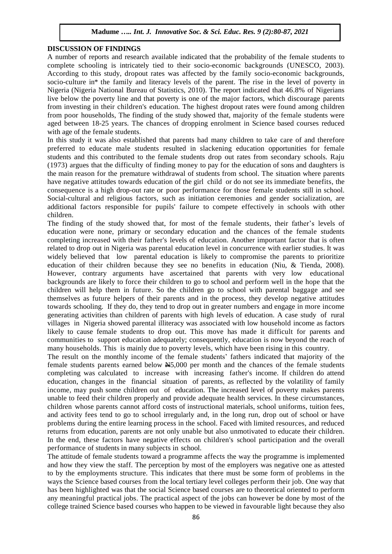#### **DISCUSSION OF FINDINGS**

A number of reports and research available indicated that the probability of the female students to complete schooling is intricately tied to their socio-economic backgrounds (UNESCO, 2003). According to this study, dropout rates was affected by the family socio-economic backgrounds, socio-culture in\* the family and literacy levels of the parent. The rise in the level of poverty in Nigeria (Nigeria National Bureau of Statistics, 2010). The report indicated that 46.8% of Nigerians live below the poverty line and that poverty is one of the major factors, which discourage parents from investing in their children's education. The highest dropout rates were found among children from poor households, The finding of the study showed that, majority of the female students were aged between 18-25 years. The chances of dropping enrolment in Science based courses reduced with age of the female students.

In this study it was also established that parents had many children to take care of and therefore preferred to educate male students resulted in slackening education opportunities for female students and this contributed to the female students drop out rates from secondary schools. Raju (1973) argues that the difficulty of finding money to pay for the education of sons and daughters is the main reason for the premature withdrawal of students from school. The situation where parents have negative attitudes towards education of the girl child or do not see its immediate benefits, the consequence is a high drop-out rate or poor performance for those female students still in school. Social-cultural and religious factors, such as initiation ceremonies and gender socialization, are additional factors responsible for pupils' failure to compete effectively in schools with other children.

The finding of the study showed that, for most of the female students, their father's levels of education were none, primary or secondary education and the chances of the female students completing increased with their father's levels of education. Another important factor that is often related to drop out in Nigeria was parental education level in concurrence with earlier studies. It was widely believed that low parental education is likely to compromise the parents to prioritize education of their children because they see no benefits in education (Niu, & Tienda, 2008). However, contrary arguments have ascertained that parents with very low educational backgrounds are likely to force their children to go to school and perform well in the hope that the children will help them in future. So the children go to school with parental baggage and see themselves as future helpers of their parents and in the process, they develop negative attitudes towards schooling. If they do, they tend to drop out in greater numbers and engage in more income generating activities than children of parents with high levels of education. A case study of rural villages in Nigeria showed parental illiteracy was associated with low household income as factors likely to cause female students to drop out. This move has made it difficult for parents and communities to support education adequately; consequently, education is now beyond the reach of many households. This is mainly due to poverty levels, which have been rising in this country.

The result on the monthly income of the female students' fathers indicated that majority of the female students parents earned below  $\text{\textcircled{H}}5,000$  per month and the chances of the female students completing was calculated to increase with increasing father's income. If children do attend education, changes in the financial situation of parents, as reflected by the volatility of family income, may push some children out of education. The increased level of poverty makes parents unable to feed their children properly and provide adequate health services. In these circumstances, children whose parents cannot afford costs of instructional materials, school uniforms, tuition fees, and activity fees tend to go to school irregularly and, in the long run, drop out of school or have problems during the entire learning process in the school. Faced with limited resources, and reduced returns from education, parents are not only unable but also unmotivated to educate their children. In the end, these factors have negative effects on children's school participation and the overall performance of students in many subjects in school.

The attitude of female students toward a programme affects the way the programme is implemented and how they view the staff. The perception by most of the employers was negative one as attested to by the employments structure. This indicates that there must be some form of problems in the ways the Science based courses from the local tertiary level colleges perform their job. One way that has been highlighted was that the social Science based courses are to theoretical oriented to perform any meaningful practical jobs. The practical aspect of the jobs can however be done by most of the college trained Science based courses who happen to be viewed in favourable light because they also